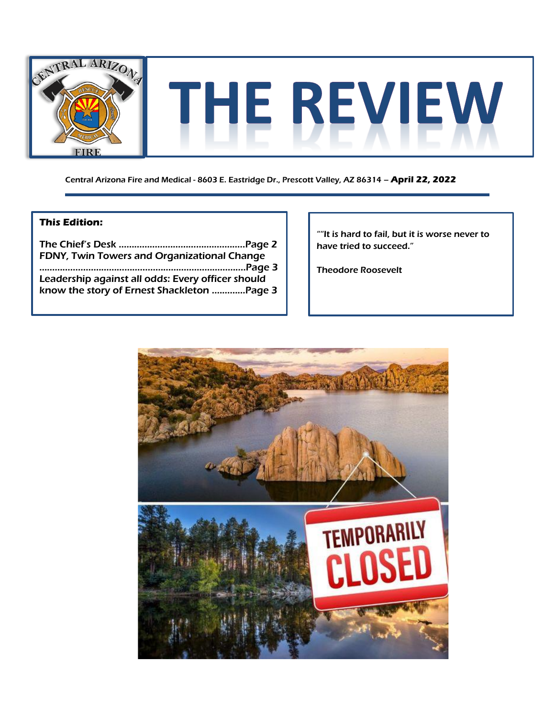

Central Arizona Fire and Medical - 8603 E. Eastridge Dr., Prescott Valley, AZ 86314 – **April 22, 2022**

## **This Edition:**

The Chief's Desk ………………………………..………..Page 2 FDNY, Twin Towers and Organizational Change ……………………………………………………….…………....Page 3 Leadership against all odds: Every officer should know the story of Ernest Shackleton .…………Page 3

""It is hard to fail, but it is worse never to have tried to succeed."

Theodore Roosevelt

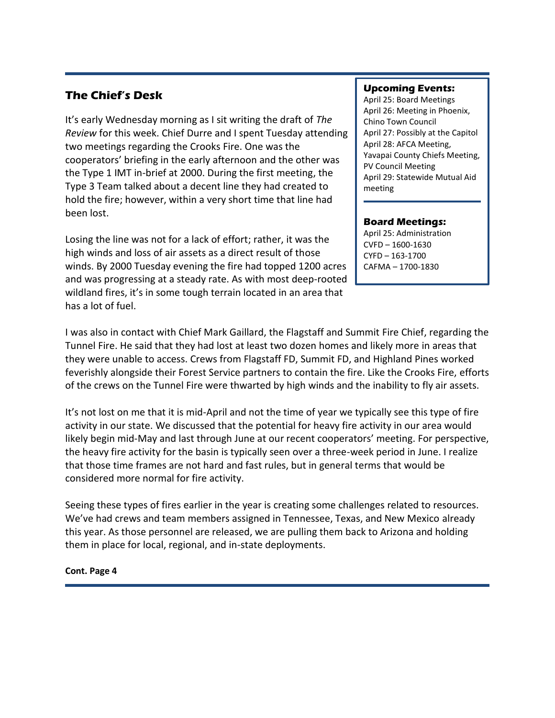## **The Chief's Desk**

It's early Wednesday morning as I sit writing the draft of *The Review* for this week. Chief Durre and I spent Tuesday attending two meetings regarding the Crooks Fire. One was the cooperators' briefing in the early afternoon and the other was the Type 1 IMT in-brief at 2000. During the first meeting, the Type 3 Team talked about a decent line they had created to hold the fire; however, within a very short time that line had been lost.

Losing the line was not for a lack of effort; rather, it was the high winds and loss of air assets as a direct result of those winds. By 2000 Tuesday evening the fire had topped 1200 acres and was progressing at a steady rate. As with most deep-rooted wildland fires, it's in some tough terrain located in an area that has a lot of fuel.

## **Upcoming Events:**

April 25: Board Meetings April 26: Meeting in Phoenix, Chino Town Council April 27: Possibly at the Capitol April 28: AFCA Meeting, Yavapai County Chiefs Meeting, PV Council Meeting April 29: Statewide Mutual Aid meeting

## **Board Meetings:**

April 25: Administration CVFD – 1600-1630 CYFD – 163-1700 CAFMA – 1700-1830

I was also in contact with Chief Mark Gaillard, the Flagstaff and Summit Fire Chief, regarding the Tunnel Fire. He said that they had lost at least two dozen homes and likely more in areas that they were unable to access. Crews from Flagstaff FD, Summit FD, and Highland Pines worked feverishly alongside their Forest Service partners to contain the fire. Like the Crooks Fire, efforts of the crews on the Tunnel Fire were thwarted by high winds and the inability to fly air assets.

It's not lost on me that it is mid-April and not the time of year we typically see this type of fire activity in our state. We discussed that the potential for heavy fire activity in our area would likely begin mid-May and last through June at our recent cooperators' meeting. For perspective, the heavy fire activity for the basin is typically seen over a three-week period in June. I realize that those time frames are not hard and fast rules, but in general terms that would be considered more normal for fire activity.

Seeing these types of fires earlier in the year is creating some challenges related to resources. We've had crews and team members assigned in Tennessee, Texas, and New Mexico already this year. As those personnel are released, we are pulling them back to Arizona and holding them in place for local, regional, and in-state deployments.

**Cont. Page 4**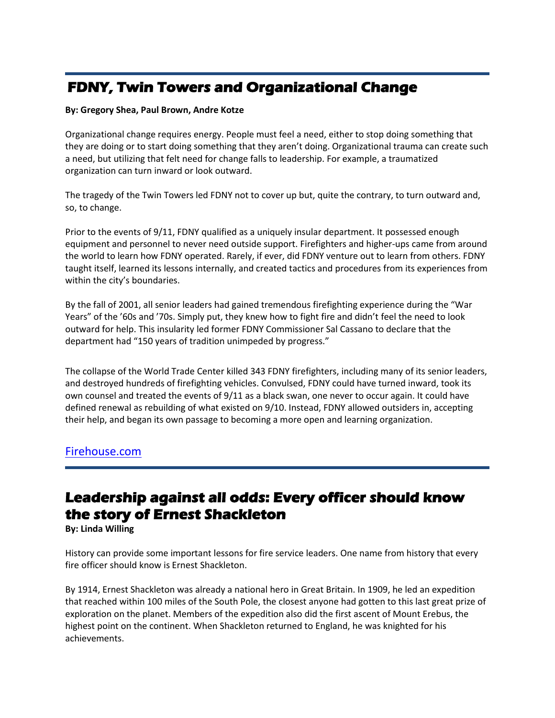# **FDNY, Twin Towers and Organizational Change**

#### **By: Gregory Shea, Paul Brown, Andre Kotze**

Organizational change requires energy. People must feel a need, either to stop doing something that they are doing or to start doing something that they aren't doing. Organizational trauma can create such a need, but utilizing that felt need for change falls to leadership. For example, a traumatized organization can turn inward or look outward.

The tragedy of the Twin Towers led FDNY not to cover up but, quite the contrary, to turn outward and, so, to change.

Prior to the events of 9/11, FDNY qualified as a uniquely insular department. It possessed enough equipment and personnel to never need outside support. Firefighters and higher-ups came from around the world to learn how FDNY operated. Rarely, if ever, did FDNY venture out to learn from others. FDNY taught itself, learned its lessons internally, and created tactics and procedures from its experiences from within the city's boundaries.

By the fall of 2001, all senior leaders had gained tremendous firefighting experience during the "War Years" of the '60s and '70s. Simply put, they knew how to fight fire and didn't feel the need to look outward for help. This insularity led former FDNY Commissioner Sal Cassano to declare that the department had "150 years of tradition unimpeded by progress."

The collapse of the World Trade Center killed 343 FDNY firefighters, including many of its senior leaders, and destroyed hundreds of firefighting vehicles. Convulsed, FDNY could have turned inward, took its own counsel and treated the events of 9/11 as a black swan, one never to occur again. It could have defined renewal as rebuilding of what existed on 9/10. Instead, FDNY allowed outsiders in, accepting their help, and began its own passage to becoming a more open and learning organization.

## [Firehouse.com](https://www.firehouse.com/leadership/article/21264922/fdny-twin-towers-and-organizational-change)

# **Leadership against all odds: Every officer should know the story of Ernest Shackleton**

**By: Linda Willing**

History can provide some important lessons for fire service leaders. One name from history that every fire officer should know is Ernest Shackleton.

By 1914, Ernest Shackleton was already a national hero in Great Britain. In 1909, he led an expedition that reached within 100 miles of the South Pole, the closest anyone had gotten to this last great prize of exploration on the planet. Members of the expedition also did the first ascent of Mount Erebus, the highest point on the continent. When Shackleton returned to England, he was knighted for his achievements.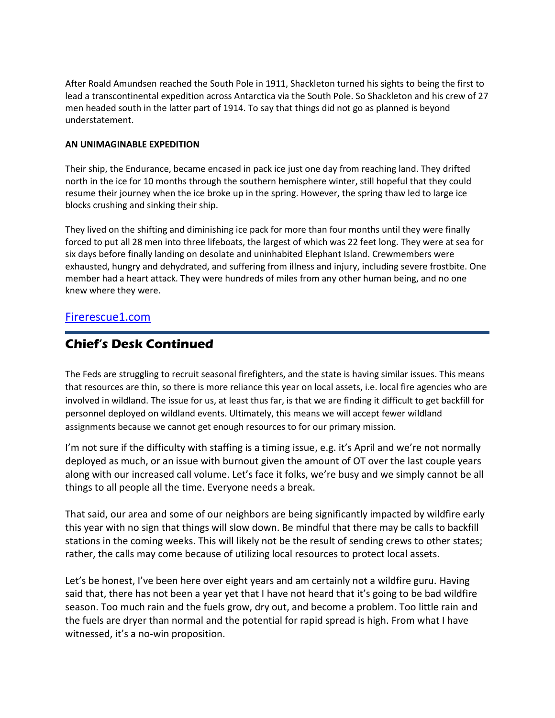After Roald Amundsen reached the South Pole in 1911, Shackleton turned his sights to being the first to lead a transcontinental expedition across Antarctica via the South Pole. So Shackleton and his crew of 27 men headed south in the latter part of 1914. To say that things did not go as planned is beyond understatement.

## **AN UNIMAGINABLE EXPEDITION**

Their ship, the Endurance, became encased in pack ice just one day from reaching land. They drifted north in the ice for 10 months through the southern hemisphere winter, still hopeful that they could resume their journey when the ice broke up in the spring. However, the spring thaw led to large ice blocks crushing and sinking their ship.

They lived on the shifting and diminishing ice pack for more than four months until they were finally forced to put all 28 men into three lifeboats, the largest of which was 22 feet long. They were at sea for six days before finally landing on desolate and uninhabited Elephant Island. Crewmembers were exhausted, hungry and dehydrated, and suffering from illness and injury, including severe frostbite. One member had a heart attack. They were hundreds of miles from any other human being, and no one knew where they were.

## [Firerescue1.com](https://www.firerescue1.com/leadership/articles/leadership-against-all-odds-every-officer-should-know-the-story-of-ernest-shackleton-FtT2sCFdueVKSaHT/?utm_source=FireRescue1&utm_campaign=0c42dc9c31-EMAIL_CAMPAIGN_2022_04_21_06_36&utm_medium=email&utm_term=0_1d76c7ca1b-0c42dc9c31-90577048)

## **Chief's Desk Continued**

The Feds are struggling to recruit seasonal firefighters, and the state is having similar issues. This means that resources are thin, so there is more reliance this year on local assets, i.e. local fire agencies who are involved in wildland. The issue for us, at least thus far, is that we are finding it difficult to get backfill for personnel deployed on wildland events. Ultimately, this means we will accept fewer wildland assignments because we cannot get enough resources to for our primary mission.

I'm not sure if the difficulty with staffing is a timing issue, e.g. it's April and we're not normally deployed as much, or an issue with burnout given the amount of OT over the last couple years along with our increased call volume. Let's face it folks, we're busy and we simply cannot be all things to all people all the time. Everyone needs a break.

That said, our area and some of our neighbors are being significantly impacted by wildfire early this year with no sign that things will slow down. Be mindful that there may be calls to backfill stations in the coming weeks. This will likely not be the result of sending crews to other states; rather, the calls may come because of utilizing local resources to protect local assets.

Let's be honest, I've been here over eight years and am certainly not a wildfire guru. Having said that, there has not been a year yet that I have not heard that it's going to be bad wildfire season. Too much rain and the fuels grow, dry out, and become a problem. Too little rain and the fuels are dryer than normal and the potential for rapid spread is high. From what I have witnessed, it's a no-win proposition.